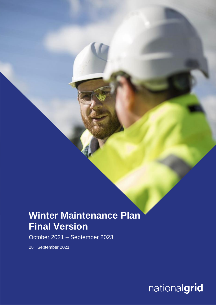# **Winter Maintenance Plan Final Version**

October 2021 – September 2023

28<sup>th</sup> September 2021

nationalgrid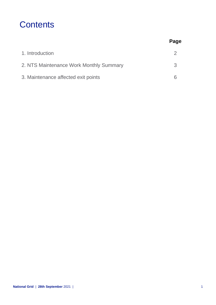### **Contents**

|                                         | Page |
|-----------------------------------------|------|
| 1. Introduction                         |      |
| 2. NTS Maintenance Work Monthly Summary | 3    |
| 3. Maintenance affected exit points     |      |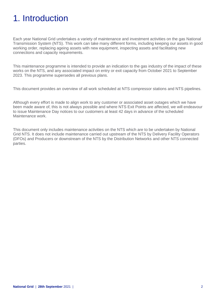## 1. Introduction

Each year National Grid undertakes a variety of maintenance and investment activities on the gas National Transmission System (NTS). This work can take many different forms, including keeping our assets in good working order, replacing ageing assets with new equipment, inspecting assets and facilitating new connections and capacity requirements.

This maintenance programme is intended to provide an indication to the gas industry of the impact of these works on the NTS, and any associated impact on entry or exit capacity from October 2021 to September 2023. This programme supersedes all previous plans.

This document provides an overview of all work scheduled at NTS compressor stations and NTS pipelines.

Although every effort is made to align work to any customer or associated asset outages which we have been made aware of, this is not always possible and where NTS Exit Points are affected, we will endeavour to issue Maintenance Day notices to our customers at least 42 days in advance of the scheduled Maintenance work.

This document only includes maintenance activities on the NTS which are to be undertaken by National Grid NTS. It does not include maintenance carried out upstream of the NTS by Delivery Facility Operators (DFOs) and Producers or downstream of the NTS by the Distribution Networks and other NTS connected parties.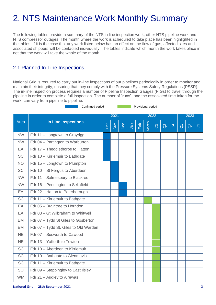# 2. NTS Maintenance Work Monthly Summary

The following tables provide a summary of the NTS in line inspection work, other NTS pipeline work and NTS compressor outages. The month where the work is scheduled to take place has been highlighted in the tables. If it is the case that any work listed below has an effect on the flow of gas, affected sites and associated shippers will be contacted individually. The tables indicate which month the work takes place in, not that the work will take the whole of the month.

### 2.1 Planned In-Line Inspections

National Grid is required to carry out in-line inspections of our pipelines periodically in order to monitor and maintain their integrity, ensuring that they comply with the Pressure Systems Safety Regulations (PSSR). The in-line inspection process requires a number of Pipeline Inspection Gauges (PIGs) to travel through the pipeline in order to complete a full inspection. The number of "runs", and the associated time taken for the work, can vary from pipeline to pipeline.

= Confirmed period = Provisional period

|                 |                                       |                | 2021             |     | 2022 |     |       |          |                |                |                   | 2023     |                |  |
|-----------------|---------------------------------------|----------------|------------------|-----|------|-----|-------|----------|----------------|----------------|-------------------|----------|----------------|--|
| Area            | <b>In Line Inspections</b>            | $\overline{S}$ | $\sum_{i=1}^{n}$ | Dec | Jan  | Feb | March | $\alpha$ | $\overline{a}$ | $\overline{d}$ | $\overline{\eth}$ | $\alpha$ | $\mathbb{S}^3$ |  |
| <b>NW</b>       | Fdr 11 - Longtown to Grayrigg         |                |                  |     |      |     |       |          |                |                |                   |          |                |  |
| <b>NW</b>       | Fdr 04 - Partington to Warburton      |                |                  |     |      |     |       |          |                |                |                   |          |                |  |
| EA              | Fdr 17 - Theddlethorpe to Hatton      |                |                  |     |      |     |       |          |                |                |                   |          |                |  |
| <b>SC</b>       | Fdr 10 - Kirriemuir to Bathgate       |                |                  |     |      |     |       |          |                |                |                   |          |                |  |
| <b>NO</b>       | Fdr 15 - Longtown to Plumpton         |                |                  |     |      |     |       |          |                |                |                   |          |                |  |
| $\overline{SC}$ | Fdr 10 - St Fergus to Aberdeen        |                |                  |     |      |     |       |          |                |                |                   |          |                |  |
| <b>NW</b>       | Fdr 11 - Salmesbury to Blackrod       |                |                  |     |      |     |       |          |                |                |                   |          |                |  |
| <b>NW</b>       | Fdr 16 - Pennington to Sellafield     |                |                  |     |      |     |       |          |                |                |                   |          |                |  |
| EA              | Fdr 22 - Hatton to Peterborough       |                |                  |     |      |     |       |          |                |                |                   |          |                |  |
| $\overline{SC}$ | Fdr 11 - Kirriemuir to Bathgate       |                |                  |     |      |     |       |          |                |                |                   |          |                |  |
| EA              | Fdr 05 - Braintree to Horndon         |                |                  |     |      |     |       |          |                |                |                   |          |                |  |
| EA              | Fdr 03 - Gt Wilbraham to Whitwell     |                |                  |     |      |     |       |          |                |                |                   |          |                |  |
| EM              | Fdr 07 - Tydd St Giles to Gosberton   |                |                  |     |      |     |       |          |                |                |                   |          |                |  |
| <b>EM</b>       | Fdr 07 - Tydd St. Giles to Old Warden |                |                  |     |      |     |       |          |                |                |                   |          |                |  |
| <b>NE</b>       | Fdr 07 - Susworth to Cawood           |                |                  |     |      |     |       |          |                |                |                   |          |                |  |
| <b>NE</b>       | Fdr 13 - Yafforth to Towton           |                |                  |     |      |     |       |          |                |                |                   |          |                |  |
| $\overline{SC}$ | Fdr 10 - Aberdeen to Kirriemuir       |                |                  |     |      |     |       |          |                |                |                   |          |                |  |
| $\overline{SC}$ | Fdr 10 - Bathgate to Glenmavis        |                |                  |     |      |     |       |          |                |                |                   |          |                |  |
| $\overline{SC}$ | Fdr 11 - Kirriemuir to Bathgate       |                |                  |     |      |     |       |          |                |                |                   |          |                |  |
| <b>SO</b>       | Fdr 09 - Steppingley to East IIsley   |                |                  |     |      |     |       |          |                |                |                   |          |                |  |
| <b>WM</b>       | Fdr 21 - Audley to Alrewas            |                |                  |     |      |     |       |          |                |                |                   |          |                |  |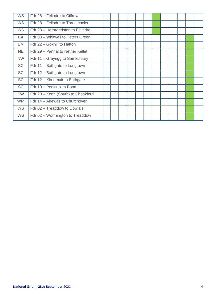| <b>WS</b> | Fdr 28 - Felindre to Cilfrew       |  |  |  |  |  |  |
|-----------|------------------------------------|--|--|--|--|--|--|
| <b>WS</b> | Fdr 28 - Felindre to Three cocks   |  |  |  |  |  |  |
| <b>WS</b> | Fdr 28 – Herbrandston to Felindre  |  |  |  |  |  |  |
| EA        | Fdr 03 - Whitwell to Peters Green  |  |  |  |  |  |  |
| EM        | Fdr 22 - Goxhill to Hatton         |  |  |  |  |  |  |
| <b>NE</b> | Fdr 29 - Pannal to Nether Kellet   |  |  |  |  |  |  |
| <b>NW</b> | Fdr 11 – Grayrigg to Samlesbury    |  |  |  |  |  |  |
| <b>SC</b> | Fdr 11 - Bathgate to Longtown      |  |  |  |  |  |  |
| <b>SC</b> | Fdr 12 - Bathgate to Longtown      |  |  |  |  |  |  |
| <b>SC</b> | Fdr 12 - Kirriemuir to Bathgate    |  |  |  |  |  |  |
| <b>SC</b> | Fdr 10 - Penicuik to Boon          |  |  |  |  |  |  |
| <b>SW</b> | Fdr 20 - Kenn (South) to Choakford |  |  |  |  |  |  |
| <b>WM</b> | Fdr 14 - Alrewas to Churchover     |  |  |  |  |  |  |
| <b>WS</b> | Fdr 02 - Treaddow to Dowlais       |  |  |  |  |  |  |
| <b>WS</b> | Fdr 02 - Wormington to Treaddow    |  |  |  |  |  |  |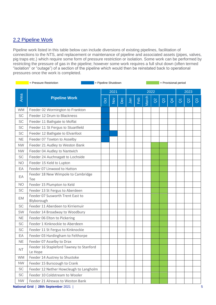### 2.2 Pipeline Work

Pipeline work listed in this table below can include diversions of existing pipelines, facilitation of connections to the NTS, and replacement or maintenance of pipeline and associated assets (pipes, valves, pig traps etc.) which require some form of pressure restriction or isolation. Some work can be performed by restricting the pressure of gas in the pipeline; however some work requires a full shut down (often termed "isolation" or "outage") of a section of the pipeline which would then be reinstated back to operational pressures once the work is completed.

|           | = Pressure Restriction                             | = Pipeline Shutdown |        |     |      |     |       | = Provisional period<br>2023<br>$\alpha$<br>$\mathbb{S}$<br>$\beta$<br>$\alpha$<br>$\overline{\eth}$ |  |  |  |  |                |  |
|-----------|----------------------------------------------------|---------------------|--------|-----|------|-----|-------|------------------------------------------------------------------------------------------------------|--|--|--|--|----------------|--|
|           |                                                    |                     | 2021   |     | 2022 |     |       |                                                                                                      |  |  |  |  |                |  |
| Area      | <b>Pipeline Work</b>                               | Oct                 | $\sum$ | Dec | Jan  | Feb | March |                                                                                                      |  |  |  |  | $\mathbb{S}^3$ |  |
| <b>WM</b> | Feeder 02 Wormington to Frankton                   |                     |        |     |      |     |       |                                                                                                      |  |  |  |  |                |  |
| <b>SC</b> | Feeder 12 Drum to Blackness                        |                     |        |     |      |     |       |                                                                                                      |  |  |  |  |                |  |
| SC        | Feeder 11 Bathgate to Moffat                       |                     |        |     |      |     |       |                                                                                                      |  |  |  |  |                |  |
| <b>SC</b> | Feeder 11 St Fergus to Stuartfield                 |                     |        |     |      |     |       |                                                                                                      |  |  |  |  |                |  |
| SC        | Feeder 12 Bathgate to Elvanfoot                    |                     |        |     |      |     |       |                                                                                                      |  |  |  |  |                |  |
| <b>NE</b> | Feeder 07 Towton to Asselby                        |                     |        |     |      |     |       |                                                                                                      |  |  |  |  |                |  |
| <b>NW</b> | Feeder 21 Audley to Weston Bank                    |                     |        |     |      |     |       |                                                                                                      |  |  |  |  |                |  |
| <b>NW</b> | Feeder 04 Audley to Nantwich                       |                     |        |     |      |     |       |                                                                                                      |  |  |  |  |                |  |
| <b>SC</b> | Feeder 24 Auchnagatt to Lochside                   |                     |        |     |      |     |       |                                                                                                      |  |  |  |  |                |  |
| <b>NO</b> | Feeder 15 Keld to Lupton                           |                     |        |     |      |     |       |                                                                                                      |  |  |  |  |                |  |
| EA        | Feeder 07 Linwood to Hatton                        |                     |        |     |      |     |       |                                                                                                      |  |  |  |  |                |  |
| EA        | Feeder 18 New Wimpole to Cambridge<br>Tee          |                     |        |     |      |     |       |                                                                                                      |  |  |  |  |                |  |
| <b>NO</b> | Feeder 15 Plumpton to Keld                         |                     |        |     |      |     |       |                                                                                                      |  |  |  |  |                |  |
| SC        | Feeder 13 St Fergus to Aberdeen                    |                     |        |     |      |     |       |                                                                                                      |  |  |  |  |                |  |
| EM        | Feeder 07 Susworth Trent East to<br>Blyborough     |                     |        |     |      |     |       |                                                                                                      |  |  |  |  |                |  |
| <b>SC</b> | Feeder 11 Aberdeen to Kirriemuir                   |                     |        |     |      |     |       |                                                                                                      |  |  |  |  |                |  |
| SW        | Feeder 14 Broadway to Woodbury                     |                     |        |     |      |     |       |                                                                                                      |  |  |  |  |                |  |
| <b>NE</b> | Feeder 06 Elton to Pickering                       |                     |        |     |      |     |       |                                                                                                      |  |  |  |  |                |  |
| <b>SC</b> | Feeder 1 Kinknockie to Aberdeen                    |                     |        |     |      |     |       |                                                                                                      |  |  |  |  |                |  |
| SC        | Feeder 11 St Fergus to Kinknockie                  |                     |        |     |      |     |       |                                                                                                      |  |  |  |  |                |  |
| EA        | Feeder 03 Hardingham to Felthorpe                  |                     |        |     |      |     |       |                                                                                                      |  |  |  |  |                |  |
| ΝE        | Feeder 07 Asselby to Drax                          |                     |        |     |      |     |       |                                                                                                      |  |  |  |  |                |  |
| <b>NT</b> | Feeder 16 Stapleford Tawney to Stanford<br>Le Hope |                     |        |     |      |     |       |                                                                                                      |  |  |  |  |                |  |
| <b>WM</b> | Feeder 14 Austrey to Shustoke                      |                     |        |     |      |     |       |                                                                                                      |  |  |  |  |                |  |
| <b>NW</b> | Feeder 15 Burscough to Crank                       |                     |        |     |      |     |       |                                                                                                      |  |  |  |  |                |  |
| <b>SC</b> | Feeder 12 Nether Howcleugh to Langholm             |                     |        |     |      |     |       |                                                                                                      |  |  |  |  |                |  |
| SC        | Feeder 10 Coldstream to Wooler                     |                     |        |     |      |     |       |                                                                                                      |  |  |  |  |                |  |
| <b>NW</b> | Feeder 21 Alrewas to Weston Bank                   |                     |        |     |      |     |       |                                                                                                      |  |  |  |  |                |  |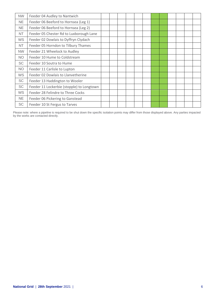| <b>NW</b> | Feeder 04 Audley to Nantwich              |  |  |  |  |  |  |
|-----------|-------------------------------------------|--|--|--|--|--|--|
| <b>NE</b> | Feeder 06 Beeford to Hornsea (Leg 1)      |  |  |  |  |  |  |
| <b>NE</b> | Feeder 06 Beeford to Hornsea (Leg 2)      |  |  |  |  |  |  |
| NT        | Feeder 05 Chester Rd to Luxborough Lane   |  |  |  |  |  |  |
| WS        | Feeder 02 Dowlais to Dyffryn Clydach      |  |  |  |  |  |  |
| NT        | Feeder 05 Horndon to Tilbury Thames       |  |  |  |  |  |  |
| <b>NW</b> | Feeder 21 Wheelock to Audley              |  |  |  |  |  |  |
| <b>NO</b> | Feeder 10 Hume to Coldstream              |  |  |  |  |  |  |
| <b>SC</b> | Feeder 10 Soutra to Hume                  |  |  |  |  |  |  |
| <b>NO</b> | Feeder 11 Carlisle to Lupton              |  |  |  |  |  |  |
| WS        | Feeder 02 Dowlais to Llanvetherine        |  |  |  |  |  |  |
| <b>SC</b> | Feeder 13 Haddington to Wooler            |  |  |  |  |  |  |
| <b>SC</b> | Feeder 11 Lockerbie (stopple) to Longtown |  |  |  |  |  |  |
| <b>WS</b> | Feeder 28 Felindre to Three Cocks         |  |  |  |  |  |  |
| <b>NE</b> | Feeder 06 Pickering to Ganstead           |  |  |  |  |  |  |
| <b>SC</b> | Feeder 10 St Fergus to Tarves             |  |  |  |  |  |  |

Please note: where a pipeline is required to be shut down the specific isolation points may differ from those displayed above. Any parties impacted by the works are contacted directly.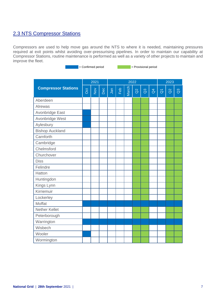### 2.3 NTS Compressor Stations

Compressors are used to help move gas around the NTS to where it is needed, maintaining pressures required at exit points whilst avoiding over-pressurising pipelines. In order to maintain our capability at Compressor Stations, routine maintenance is performed as well as a variety of other projects to maintain and improve the fleet.

= Confirmed period = Provisional period

|                            |     | 2021   |     |     |     | 2022  | 2023     |                |                |                     |          |                |
|----------------------------|-----|--------|-----|-----|-----|-------|----------|----------------|----------------|---------------------|----------|----------------|
| <b>Compressor Stations</b> | Oct | $\geq$ | Dec | Jan | Feb | March | $\alpha$ | $\mathbb{S}^3$ | $\overline{d}$ | $\overline{\delta}$ | $\alpha$ | $\overline{a}$ |
| Aberdeen                   |     |        |     |     |     |       |          |                |                |                     |          |                |
| Alrewas                    |     |        |     |     |     |       |          |                |                |                     |          |                |
| Avonbridge East            |     |        |     |     |     |       |          |                |                |                     |          |                |
| Avonbridge West            |     |        |     |     |     |       |          |                |                |                     |          |                |
| Aylesbury                  |     |        |     |     |     |       |          |                |                |                     |          |                |
| <b>Bishop Auckland</b>     |     |        |     |     |     |       |          |                |                |                     |          |                |
| Carnforth                  |     |        |     |     |     |       |          |                |                |                     |          |                |
| Cambridge                  |     |        |     |     |     |       |          |                |                |                     |          |                |
| Chelmsford                 |     |        |     |     |     |       |          |                |                |                     |          |                |
| Churchover                 |     |        |     |     |     |       |          |                |                |                     |          |                |
| <b>Diss</b>                |     |        |     |     |     |       |          |                |                |                     |          |                |
| Felindre                   |     |        |     |     |     |       |          |                |                |                     |          |                |
| Hatton                     |     |        |     |     |     |       |          |                |                |                     |          |                |
| Huntingdon                 |     |        |     |     |     |       |          |                |                |                     |          |                |
| Kings Lynn                 |     |        |     |     |     |       |          |                |                |                     |          |                |
| Kirriemuir                 |     |        |     |     |     |       |          |                |                |                     |          |                |
| Lockerley                  |     |        |     |     |     |       |          |                |                |                     |          |                |
| Moffat                     |     |        |     |     |     |       |          |                |                |                     |          |                |
| <b>Nether Kellet</b>       |     |        |     |     |     |       |          |                |                |                     |          |                |
| Peterborough               |     |        |     |     |     |       |          |                |                |                     |          |                |
| Warrington                 |     |        |     |     |     |       |          |                |                |                     |          |                |
| Wisbech                    |     |        |     |     |     |       |          |                |                |                     |          |                |
| Wooler                     |     |        |     |     |     |       |          |                |                |                     |          |                |
| Wormington                 |     |        |     |     |     |       |          |                |                |                     |          |                |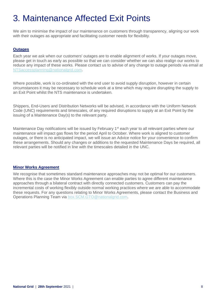## 3. Maintenance Affected Exit Points

We aim to minimise the impact of our maintenance on customers through transparency, aligning our work with their outages as appropriate and facilitating customer needs for flexibility.

#### **Outages**

Each year we ask when our customers' outages are to enable alignment of works. If your outages move, please get in touch as early as possible so that we can consider whether we can also realign our works to reduce any impact of these works. Please contact us to advise of any change to outage periods via email at [NTSaccessplanning@nationalgrid.com.](mailto:NTSaccessplanning@nationalgrid.com)

Where possible, work is co-ordinated with the end user to avoid supply disruption, however in certain circumstances it may be necessary to schedule work at a time which may require disrupting the supply to an Exit Point whilst the NTS maintenance is undertaken.

Shippers, End-Users and Distribution Networks will be advised, in accordance with the Uniform Network Code (UNC) requirements and timescales, of any required disruptions to supply at an Exit Point by the issuing of a Maintenance Day(s) to the relevant party.

Maintenance Day notifications will be issued by February 1<sup>st</sup> each year to all relevant parties where our maintenance will impact gas flows for the period April to October. Where work is aligned to customer outages, or there is no anticipated impact, we will issue an Advice notice for your convenience to confirm these arrangements. Should any changes or additions to the requested Maintenance Days be required, all relevant parties will be notified in line with the timescales detailed in the UNC.

#### **Minor Works Agreement**

We recognise that sometimes standard maintenance approaches may not be optimal for our customers. Where this is the case the Minor Works Agreement can enable parties to agree different maintenance approaches through a bilateral contract with directly connected customers. Customers can pay the incremental costs of working flexibly outside normal working practices where we are able to accommodate these requests. For any questions relating to Minor Works Agreements, please contact the Business and Operations Planning Team via [box.SCM.GTO@nationalgrid.com.](mailto:box.SCM.GTO@nationalgrid.com)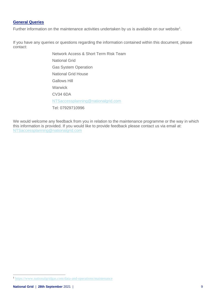#### **General Queries**

Further information on the maintenance activities undertaken by us is available on our website<sup>1</sup>.

If you have any queries or questions regarding the information contained within this document, please contact:

> Network Access & Short Term Risk Team National Grid Gas System Operation National Grid House Gallows Hill Warwick CV34 6DA [NTSaccessplanning@nationalgrid.com](mailto:NTSaccessplanning@nationalgrid.com) Tel: 07929710996

We would welcome any feedback from you in relation to the maintenance programme or the way in which this information is provided. If you would like to provide feedback please contact us via email at: [NTSaccessplanning@nationalgrid.com](mailto:NTSaccessplanning@nationalgrid.com)

<sup>1</sup> <https://www.nationalgridgas.com/data-and-operations/maintenance>